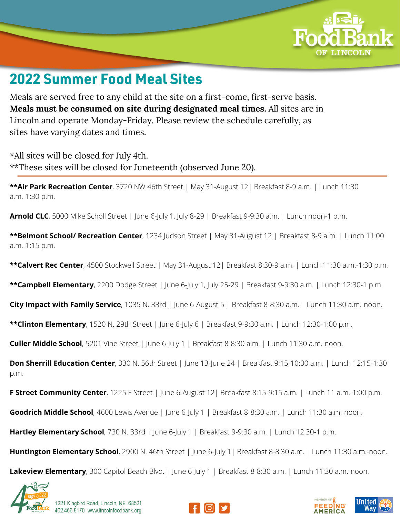

## **2022 Summer Food Meal Sites**

Meals are served free to any child at the site on a first-come, first-serve basis. **Meals must be consumed on site during designated meal times.** All sites are in Lincoln and operate Monday-Friday. Please review the schedule carefully, as sites have varying dates and times.

\*All sites will be closed for July 4th. \*\*These sites will be closed for Juneteenth (observed June 20).

**\*\*Air Park Recreation Center**, 3720 NW 46th Street | May 31-August 12| Breakfast 8-9 a.m. | Lunch 11:30 a.m.-1:30 p.m.

**Arnold CLC**, 5000 Mike Scholl Street | June 6-July 1, July 8-29 | Breakfast 9-9:30 a.m. | Lunch noon-1 p.m.

**\*\*Belmont School/ Recreation Center**, 1234 Judson Street | May 31-August 12 | Breakfast 8-9 a.m. | Lunch 11:00 a.m.-1:15 p.m.

**\*\*Calvert Rec Center**, 4500 Stockwell Street | May 31-August 12| Breakfast 8:30-9 a.m. | Lunch 11:30 a.m.-1:30 p.m.

**\*\*Campbell Elementary**, 2200 Dodge Street | June 6-July 1, July 25-29 | Breakfast 9-9:30 a.m. | Lunch 12:30-1 p.m.

**City Impact with Family Service**, 1035 N. 33rd | June 6-August 5 | Breakfast 8-8:30 a.m. | Lunch 11:30 a.m.-noon.

**\*\*Clinton Elementary**, 1520 N. 29th Street | June 6-July 6 | Breakfast 9-9:30 a.m. | Lunch 12:30-1:00 p.m.

**Culler Middle School**, 5201 Vine Street | June 6-July 1 | Breakfast 8-8:30 a.m. | Lunch 11:30 a.m.-noon.

**Don Sherrill Education Center**, 330 N. 56th Street | June 13-June 24 | Breakfast 9:15-10:00 a.m. | Lunch 12:15-1:30 p.m.

**F Street Community Center**, 1225 F Street | June 6-August 12| Breakfast 8:15-9:15 a.m. | Lunch 11 a.m.-1:00 p.m.

**Goodrich Middle School**, 4600 Lewis Avenue | June 6-July 1 | Breakfast 8-8:30 a.m. | Lunch 11:30 a.m.-noon.

**Hartley Elementary School**, 730 N. 33rd | June 6-July 1 | Breakfast 9-9:30 a.m. | Lunch 12:30-1 p.m.

**Huntington Elementary School**, 2900 N. 46th Street | June 6-July 1| Breakfast 8-8:30 a.m. | Lunch 11:30 a.m.-noon.

**Lakeview Elementary**, 300 Capitol Beach Blvd. | June 6-July 1 | Breakfast 8-8:30 a.m. | Lunch 11:30 a.m.-noon.